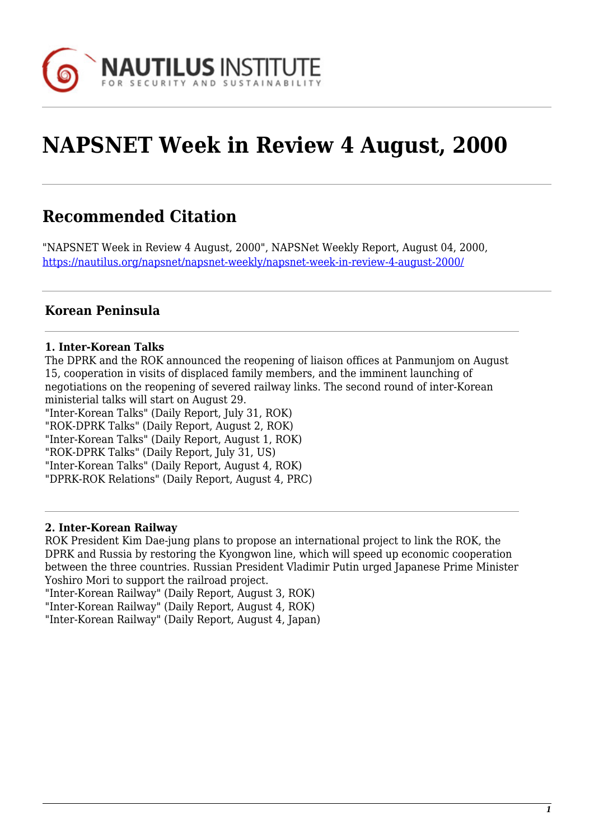

# **NAPSNET Week in Review 4 August, 2000**

# **Recommended Citation**

"NAPSNET Week in Review 4 August, 2000", NAPSNet Weekly Report, August 04, 2000, <https://nautilus.org/napsnet/napsnet-weekly/napsnet-week-in-review-4-august-2000/>

## **Korean Peninsula**

#### **1. Inter-Korean Talks**

The DPRK and the ROK announced the reopening of liaison offices at Panmunjom on August 15, cooperation in visits of displaced family members, and the imminent launching of negotiations on the reopening of severed railway links. The second round of inter-Korean ministerial talks will start on August 29.

"Inter-Korean Talks" (Daily Report, July 31, ROK) "ROK-DPRK Talks" (Daily Report, August 2, ROK)

"Inter-Korean Talks" (Daily Report, August 1, ROK)

"ROK-DPRK Talks" (Daily Report, July 31, US)

"Inter-Korean Talks" (Daily Report, August 4, ROK)

"DPRK-ROK Relations" (Daily Report, August 4, PRC)

#### **2. Inter-Korean Railway**

ROK President Kim Dae-jung plans to propose an international project to link the ROK, the DPRK and Russia by restoring the Kyongwon line, which will speed up economic cooperation between the three countries. Russian President Vladimir Putin urged Japanese Prime Minister Yoshiro Mori to support the railroad project.

"Inter-Korean Railway" (Daily Report, August 3, ROK)

"Inter-Korean Railway" (Daily Report, August 4, ROK)

"Inter-Korean Railway" (Daily Report, August 4, Japan)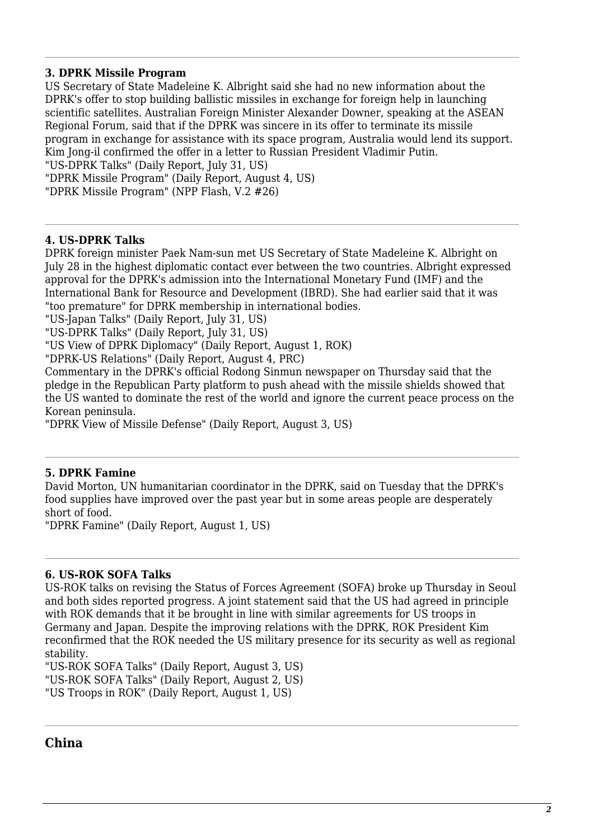#### **3. DPRK Missile Program**

US Secretary of State Madeleine K. Albright said she had no new information about the DPRK's offer to stop building ballistic missiles in exchange for foreign help in launching scientific satellites. Australian Foreign Minister Alexander Downer, speaking at the ASEAN Regional Forum, said that if the DPRK was sincere in its offer to terminate its missile program in exchange for assistance with its space program, Australia would lend its support. Kim Jong-il confirmed the offer in a letter to Russian President Vladimir Putin. "US-DPRK Talks" (Daily Report, July 31, US) "DPRK Missile Program" (Daily Report, August 4, US) "DPRK Missile Program" (NPP Flash, V.2 #26)

#### **4. US-DPRK Talks**

DPRK foreign minister Paek Nam-sun met US Secretary of State Madeleine K. Albright on July 28 in the highest diplomatic contact ever between the two countries. Albright expressed approval for the DPRK's admission into the International Monetary Fund (IMF) and the International Bank for Resource and Development (IBRD). She had earlier said that it was "too premature" for DPRK membership in international bodies.

"US-Japan Talks" (Daily Report, July 31, US)

"US-DPRK Talks" (Daily Report, July 31, US)

"US View of DPRK Diplomacy" (Daily Report, August 1, ROK)

"DPRK-US Relations" (Daily Report, August 4, PRC)

Commentary in the DPRK's official Rodong Sinmun newspaper on Thursday said that the pledge in the Republican Party platform to push ahead with the missile shields showed that the US wanted to dominate the rest of the world and ignore the current peace process on the Korean peninsula.

"DPRK View of Missile Defense" (Daily Report, August 3, US)

#### **5. DPRK Famine**

David Morton, UN humanitarian coordinator in the DPRK, said on Tuesday that the DPRK's food supplies have improved over the past year but in some areas people are desperately short of food.

"DPRK Famine" (Daily Report, August 1, US)

#### **6. US-ROK SOFA Talks**

US-ROK talks on revising the Status of Forces Agreement (SOFA) broke up Thursday in Seoul and both sides reported progress. A joint statement said that the US had agreed in principle with ROK demands that it be brought in line with similar agreements for US troops in Germany and Japan. Despite the improving relations with the DPRK, ROK President Kim reconfirmed that the ROK needed the US military presence for its security as well as regional stability.

"US-ROK SOFA Talks" (Daily Report, August 3, US) "US-ROK SOFA Talks" (Daily Report, August 2, US) "US Troops in ROK" (Daily Report, August 1, US)

#### **China**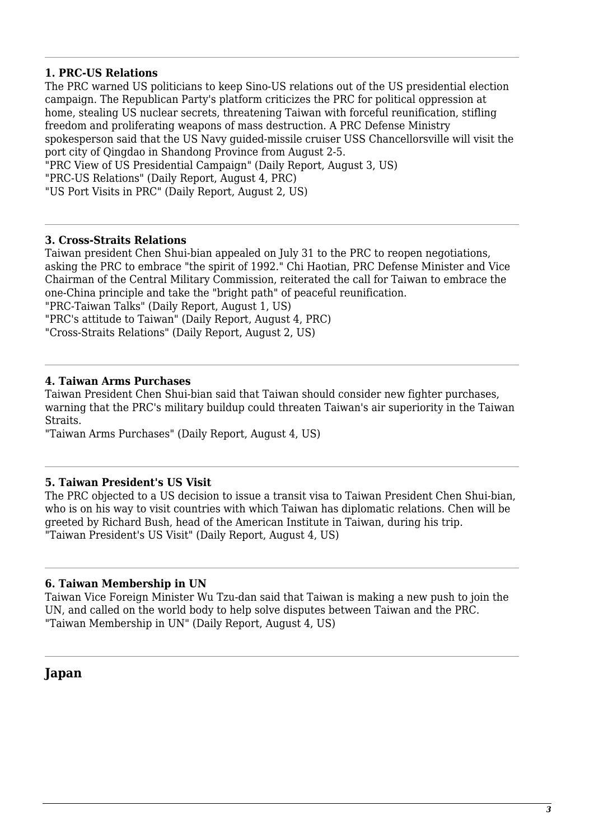#### **1. PRC-US Relations**

The PRC warned US politicians to keep Sino-US relations out of the US presidential election campaign. The Republican Party's platform criticizes the PRC for political oppression at home, stealing US nuclear secrets, threatening Taiwan with forceful reunification, stifling freedom and proliferating weapons of mass destruction. A PRC Defense Ministry spokesperson said that the US Navy guided-missile cruiser USS Chancellorsville will visit the port city of Qingdao in Shandong Province from August 2-5.

"PRC View of US Presidential Campaign" (Daily Report, August 3, US)

"PRC-US Relations" (Daily Report, August 4, PRC)

"US Port Visits in PRC" (Daily Report, August 2, US)

#### **3. Cross-Straits Relations**

Taiwan president Chen Shui-bian appealed on July 31 to the PRC to reopen negotiations, asking the PRC to embrace "the spirit of 1992." Chi Haotian, PRC Defense Minister and Vice Chairman of the Central Military Commission, reiterated the call for Taiwan to embrace the one-China principle and take the "bright path" of peaceful reunification. "PRC-Taiwan Talks" (Daily Report, August 1, US)

"PRC's attitude to Taiwan" (Daily Report, August 4, PRC) "Cross-Straits Relations" (Daily Report, August 2, US)

#### **4. Taiwan Arms Purchases**

Taiwan President Chen Shui-bian said that Taiwan should consider new fighter purchases, warning that the PRC's military buildup could threaten Taiwan's air superiority in the Taiwan Straits.

"Taiwan Arms Purchases" (Daily Report, August 4, US)

#### **5. Taiwan President's US Visit**

The PRC objected to a US decision to issue a transit visa to Taiwan President Chen Shui-bian, who is on his way to visit countries with which Taiwan has diplomatic relations. Chen will be greeted by Richard Bush, head of the American Institute in Taiwan, during his trip. "Taiwan President's US Visit" (Daily Report, August 4, US)

#### **6. Taiwan Membership in UN**

Taiwan Vice Foreign Minister Wu Tzu-dan said that Taiwan is making a new push to join the UN, and called on the world body to help solve disputes between Taiwan and the PRC. "Taiwan Membership in UN" (Daily Report, August 4, US)

#### **Japan**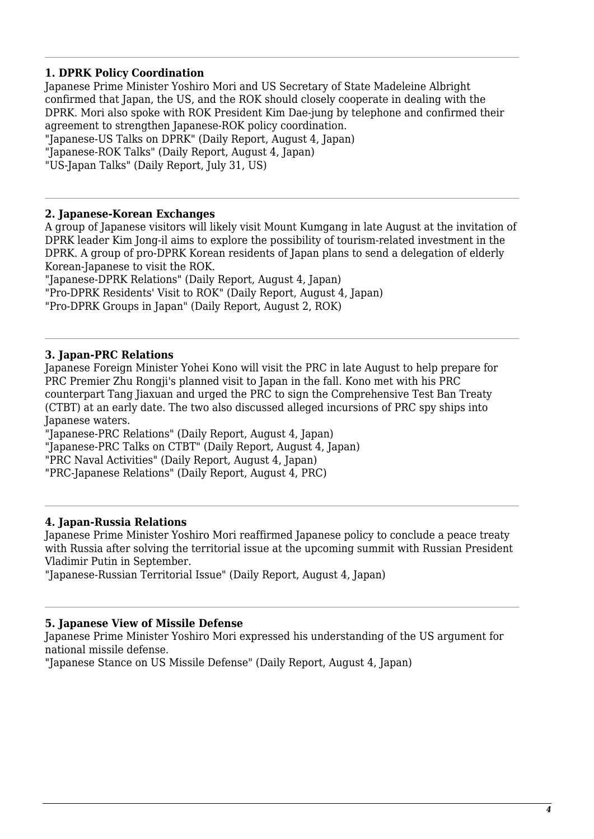#### **1. DPRK Policy Coordination**

Japanese Prime Minister Yoshiro Mori and US Secretary of State Madeleine Albright confirmed that Japan, the US, and the ROK should closely cooperate in dealing with the DPRK. Mori also spoke with ROK President Kim Dae-jung by telephone and confirmed their agreement to strengthen Japanese-ROK policy coordination.

"Japanese-US Talks on DPRK" (Daily Report, August 4, Japan)

"Japanese-ROK Talks" (Daily Report, August 4, Japan)

"US-Japan Talks" (Daily Report, July 31, US)

#### **2. Japanese-Korean Exchanges**

A group of Japanese visitors will likely visit Mount Kumgang in late August at the invitation of DPRK leader Kim Jong-il aims to explore the possibility of tourism-related investment in the DPRK. A group of pro-DPRK Korean residents of Japan plans to send a delegation of elderly Korean-Japanese to visit the ROK.

"Japanese-DPRK Relations" (Daily Report, August 4, Japan) "Pro-DPRK Residents' Visit to ROK" (Daily Report, August 4, Japan) "Pro-DPRK Groups in Japan" (Daily Report, August 2, ROK)

#### **3. Japan-PRC Relations**

Japanese Foreign Minister Yohei Kono will visit the PRC in late August to help prepare for PRC Premier Zhu Rongji's planned visit to Japan in the fall. Kono met with his PRC counterpart Tang Jiaxuan and urged the PRC to sign the Comprehensive Test Ban Treaty (CTBT) at an early date. The two also discussed alleged incursions of PRC spy ships into Japanese waters.

"Japanese-PRC Relations" (Daily Report, August 4, Japan) "Japanese-PRC Talks on CTBT" (Daily Report, August 4, Japan) "PRC Naval Activities" (Daily Report, August 4, Japan) "PRC-Japanese Relations" (Daily Report, August 4, PRC)

#### **4. Japan-Russia Relations**

Japanese Prime Minister Yoshiro Mori reaffirmed Japanese policy to conclude a peace treaty with Russia after solving the territorial issue at the upcoming summit with Russian President Vladimir Putin in September.

"Japanese-Russian Territorial Issue" (Daily Report, August 4, Japan)

#### **5. Japanese View of Missile Defense**

Japanese Prime Minister Yoshiro Mori expressed his understanding of the US argument for national missile defense.

"Japanese Stance on US Missile Defense" (Daily Report, August 4, Japan)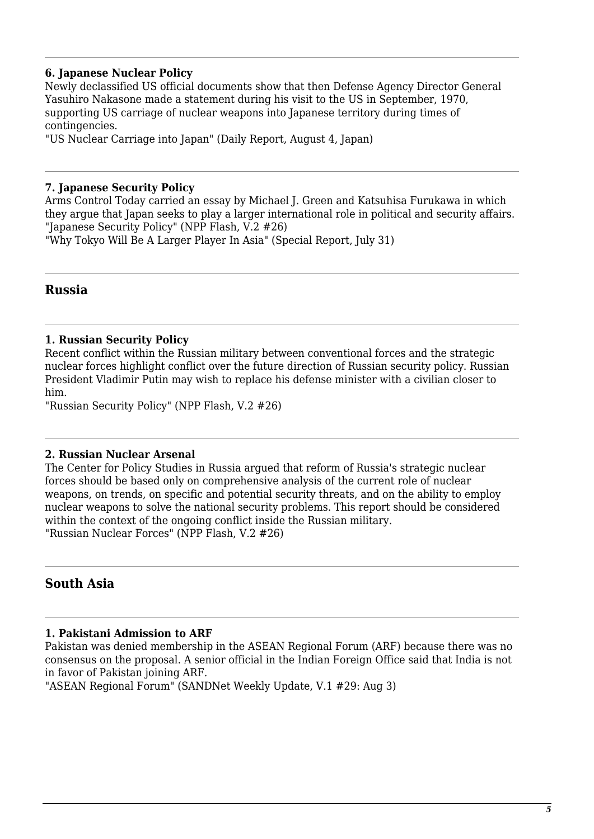#### **6. Japanese Nuclear Policy**

Newly declassified US official documents show that then Defense Agency Director General Yasuhiro Nakasone made a statement during his visit to the US in September, 1970, supporting US carriage of nuclear weapons into Japanese territory during times of contingencies.

"US Nuclear Carriage into Japan" (Daily Report, August 4, Japan)

#### **7. Japanese Security Policy**

Arms Control Today carried an essay by Michael J. Green and Katsuhisa Furukawa in which they argue that Japan seeks to play a larger international role in political and security affairs. "Japanese Security Policy" (NPP Flash, V.2 #26)

"Why Tokyo Will Be A Larger Player In Asia" (Special Report, July 31)

#### **Russia**

#### **1. Russian Security Policy**

Recent conflict within the Russian military between conventional forces and the strategic nuclear forces highlight conflict over the future direction of Russian security policy. Russian President Vladimir Putin may wish to replace his defense minister with a civilian closer to him.

"Russian Security Policy" (NPP Flash, V.2 #26)

#### **2. Russian Nuclear Arsenal**

The Center for Policy Studies in Russia argued that reform of Russia's strategic nuclear forces should be based only on comprehensive analysis of the current role of nuclear weapons, on trends, on specific and potential security threats, and on the ability to employ nuclear weapons to solve the national security problems. This report should be considered within the context of the ongoing conflict inside the Russian military. "Russian Nuclear Forces" (NPP Flash, V.2 #26)

#### **South Asia**

#### **1. Pakistani Admission to ARF**

Pakistan was denied membership in the ASEAN Regional Forum (ARF) because there was no consensus on the proposal. A senior official in the Indian Foreign Office said that India is not in favor of Pakistan joining ARF.

"ASEAN Regional Forum" (SANDNet Weekly Update, V.1 #29: Aug 3)